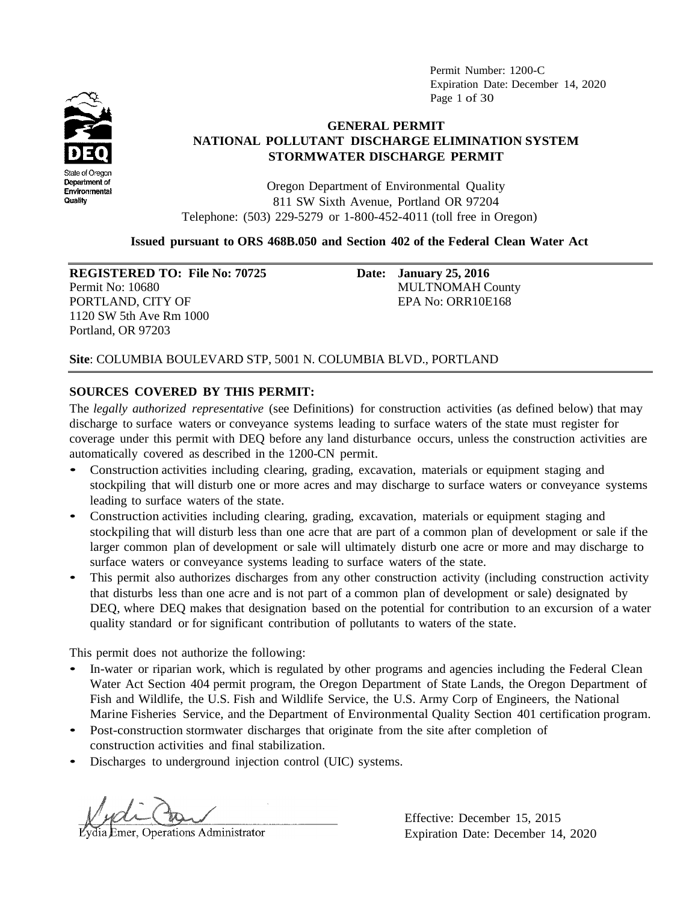Permit Number: 1200-C Expiration Date: December 14, 2020 Page 1 of 30



# **GENERAL PERMIT NATIONAL POLLUTANT DISCHARGE ELIMINATION SYSTEM STORMWATER DISCHARGE PERMIT**

Oregon Department of Environmental Quality 811 SW Sixth Avenue, Portland OR 97204 Telephone: (503) 229-5279 or 1-800-452-4011 (toll free in Oregon)

### **Issued pursuant to ORS 468B.050 and Section 402 of the Federal Clean Water Act**

**REGISTERED TO: File No: 70725 Date: January 25, 2016**

PORTLAND, CITY OF **EPA No: ORR10E168** 1120 SW 5th Ave Rm 1000 Portland, OR 97203

Permit No: 10680 MULTNOMAH County

# **Site**: COLUMBIA BOULEVARD STP, 5001 N. COLUMBIA BLVD., PORTLAND

# **SOURCES COVERED BY THIS PERMIT:**

The *legally authorized representative* (see Definitions) for construction activities (as defined below) that may discharge to surface waters or conveyance systems leading to surface waters of the state must register for coverage under this permit with DEQ before any land disturbance occurs, unless the construction activities are automatically covered as described in the 1200-CN permit.

- Construction activities including clearing, grading, excavation, materials or equipment staging and stockpiling that will disturb one or more acres and may discharge to surface waters or conveyance systems leading to surface waters of the state.
- Construction activities including clearing, grading, excavation, materials or equipment staging and stockpiling that will disturb less than one acre that are part of a common plan of development or sale if the larger common plan of development or sale will ultimately disturb one acre or more and may discharge to surface waters or conveyance systems leading to surface waters of the state.
- This permit also authorizes discharges from any other construction activity (including construction activity that disturbs less than one acre and is not part of a common plan of development or sale) designated by DEQ, where DEQ makes that designation based on the potential for contribution to an excursion of a water quality standard or for significant contribution of pollutants to waters of the state.

This permit does not authorize the following:

- In-water or riparian work, which is regulated by other programs and agencies including the Federal Clean Water Act Section 404 permit program, the Oregon Department of State Lands, the Oregon Department of Fish and Wildlife, the U.S. Fish and Wildlife Service, the U.S. Army Corp of Engineers, the National Marine Fisheries Service, and the Department of Environmental Quality Section 401 certification program.
- Post-construction stormwater discharges that originate from the site after completion of construction activities and final stabilization.
- Discharges to underground injection control (UIC) systems.

**Emer, Operations Administrator** 

Effective: December 15, 2015 Expiration Date: December 14, 2020